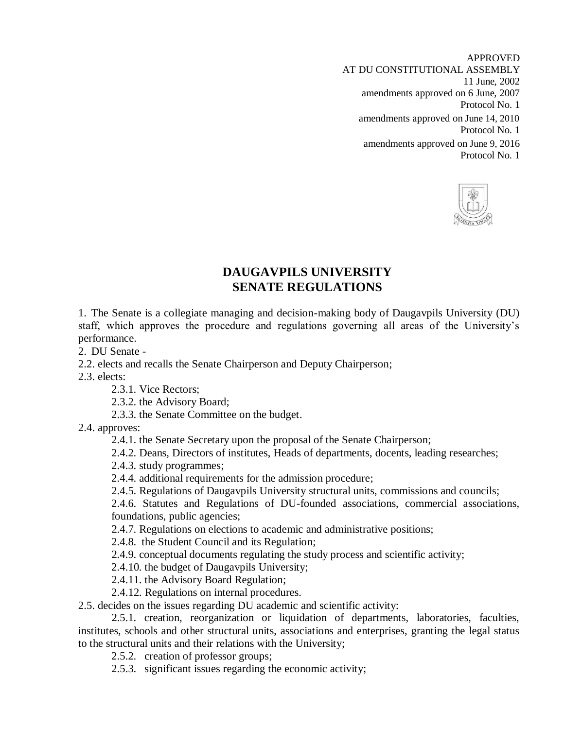APPROVED AT DU CONSTITUTIONAL ASSEMBLY 11 June, 2002 amendments approved on 6 June, 2007 Protocol No. 1 amendments approved on June 14, 2010 Protocol No. 1 amendments approved on June 9, 2016 Protocol No. 1



## **DAUGAVPILS UNIVERSITY SENATE REGULATIONS**

1. The Senate is a collegiate managing and decision-making body of Daugavpils University (DU) staff, which approves the procedure and regulations governing all areas of the University's performance.

2. DU Senate -

2.2. elects and recalls the Senate Chairperson and Deputy Chairperson;

2.3. elects:

2.3.1. Vice Rectors;

2.3.2. the Advisory Board;

2.3.3. the Senate Committee on the budget.

2.4. approves:

2.4.1. the Senate Secretary upon the proposal of the Senate Chairperson;

2.4.2. Deans, Directors of institutes, Heads of departments, docents, leading researches;

2.4.3. study programmes;

2.4.4. additional requirements for the admission procedure;

2.4.5. Regulations of Daugavpils University structural units, commissions and councils;

2.4.6. Statutes and Regulations of DU-founded associations, commercial associations, foundations, public agencies;

2.4.7. Regulations on elections to academic and administrative positions;

2.4.8. the Student Council and its Regulation;

2.4.9. conceptual documents regulating the study process and scientific activity;

2.4.10. the budget of Daugavpils University;

2.4.11. the Advisory Board Regulation;

2.4.12. Regulations on internal procedures.

2.5. decides on the issues regarding DU academic and scientific activity:

 2.5.1. creation, reorganization or liquidation of departments, laboratories, faculties, institutes, schools and other structural units, associations and enterprises, granting the legal status to the structural units and their relations with the University;

2.5.2. creation of professor groups;

2.5.3. significant issues regarding the economic activity;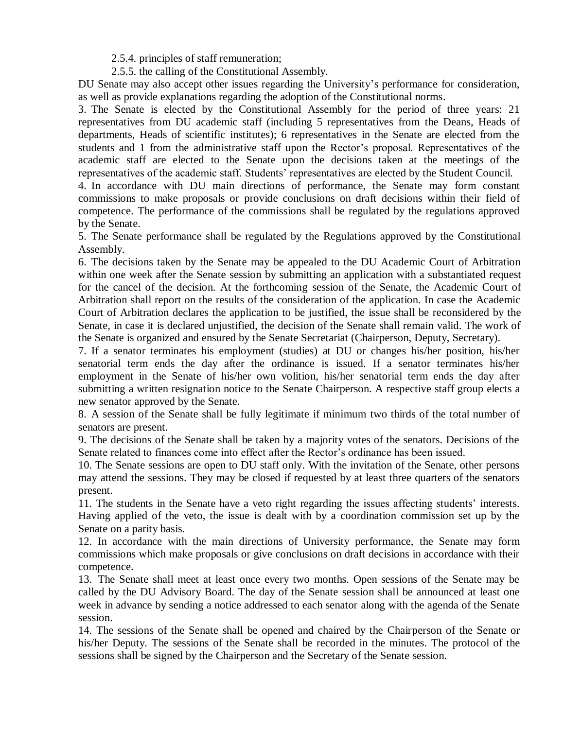2.5.4. principles of staff remuneration;

2.5.5. the calling of the Constitutional Assembly.

DU Senate may also accept other issues regarding the University's performance for consideration, as well as provide explanations regarding the adoption of the Constitutional norms.

3. The Senate is elected by the Constitutional Assembly for the period of three years: 21 representatives from DU academic staff (including 5 representatives from the Deans, Heads of departments, Heads of scientific institutes); 6 representatives in the Senate are elected from the students and 1 from the administrative staff upon the Rector's proposal. Representatives of the academic staff are elected to the Senate upon the decisions taken at the meetings of the representatives of the academic staff. Students' representatives are elected by the Student Council.

4. In accordance with DU main directions of performance, the Senate may form constant commissions to make proposals or provide conclusions on draft decisions within their field of competence. The performance of the commissions shall be regulated by the regulations approved by the Senate.

5. The Senate performance shall be regulated by the Regulations approved by the Constitutional Assembly.

6. The decisions taken by the Senate may be appealed to the DU Academic Court of Arbitration within one week after the Senate session by submitting an application with a substantiated request for the cancel of the decision. At the forthcoming session of the Senate, the Academic Court of Arbitration shall report on the results of the consideration of the application. In case the Academic Court of Arbitration declares the application to be justified, the issue shall be reconsidered by the Senate, in case it is declared unjustified, the decision of the Senate shall remain valid. The work of the Senate is organized and ensured by the Senate Secretariat (Chairperson, Deputy, Secretary).

7. If a senator terminates his employment (studies) at DU or changes his/her position, his/her senatorial term ends the day after the ordinance is issued. If a senator terminates his/her employment in the Senate of his/her own volition, his/her senatorial term ends the day after submitting a written resignation notice to the Senate Chairperson. A respective staff group elects a new senator approved by the Senate.

8. A session of the Senate shall be fully legitimate if minimum two thirds of the total number of senators are present.

9. The decisions of the Senate shall be taken by a majority votes of the senators. Decisions of the Senate related to finances come into effect after the Rector's ordinance has been issued.

10. The Senate sessions are open to DU staff only. With the invitation of the Senate, other persons may attend the sessions. They may be closed if requested by at least three quarters of the senators present.

11. The students in the Senate have a veto right regarding the issues affecting students' interests. Having applied of the veto, the issue is dealt with by a coordination commission set up by the Senate on a parity basis.

12. In accordance with the main directions of University performance, the Senate may form commissions which make proposals or give conclusions on draft decisions in accordance with their competence.

13. The Senate shall meet at least once every two months. Open sessions of the Senate may be called by the DU Advisory Board. The day of the Senate session shall be announced at least one week in advance by sending a notice addressed to each senator along with the agenda of the Senate session.

14. The sessions of the Senate shall be opened and chaired by the Chairperson of the Senate or his/her Deputy. The sessions of the Senate shall be recorded in the minutes. The protocol of the sessions shall be signed by the Chairperson and the Secretary of the Senate session.